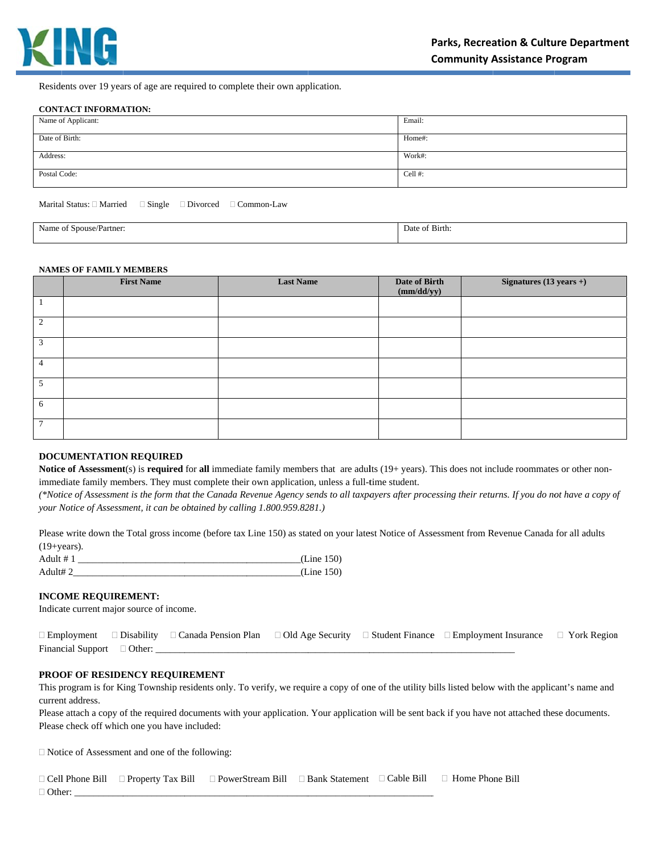

Residents over 19 years of age are required to complete their own application.

#### **CONTACT INFORMATION:**

| Name of Applicant: | Email:     |
|--------------------|------------|
| Date of Birth:     | Home#:     |
| Address:           | Work#:     |
| Postal Code:       | Cell $#$ : |

Marital Status:  $\Box$  Married  $\Box$  Single  $\Box$  Divorced  $\Box$  Common-Law

| Name<br>: Spouse/Partner:<br>,,, | $\sim$<br>Birth:<br>Date<br> |  |
|----------------------------------|------------------------------|--|
|                                  |                              |  |

#### **NAMES OF FAMILY MEMBERS**

|                 | <b>First Name</b> | <b>Last Name</b> | Date of Birth<br>(mm/dd/yy) | $Signatures (13 years +)$ |
|-----------------|-------------------|------------------|-----------------------------|---------------------------|
|                 |                   |                  |                             |                           |
| 2               |                   |                  |                             |                           |
| 3               |                   |                  |                             |                           |
| $\overline{4}$  |                   |                  |                             |                           |
| 5               |                   |                  |                             |                           |
| 6               |                   |                  |                             |                           |
| $7\phantom{.0}$ |                   |                  |                             |                           |

# **DOCUMENTATION REQUIRED**

Notice of Assessment(s) is required for all immediate family members that are adults (19+ years). This does not include roommates or other nonimmediate family members. They must complete their own application, unless a full-time student.

(\*Notice of Assessment is the form that the Canada Revenue Agency sends to all taxpayers after processing their returns. If you do not have a copy of your Notice of Assessment, it can be obtained by calling 1.800.959.8281.)

Please write down the Total gross income (before tax Line 150) as stated on your latest Notice of Assessment from Revenue Canada for all adults  $(19 + years)$ .

| Adult $# 1$ | (Line 150) |
|-------------|------------|
| Adult#2     | (Line 150) |

#### **INCOME REQUIREMENT:**

Indicate current major source of income.

|                                 | $\Box$ Employment $\Box$ Disability $\Box$ Canada Pension Plan $\Box$ Old Age Security $\Box$ Student Finance $\Box$ Employment Insurance $\Box$ York Region |  |  |
|---------------------------------|--------------------------------------------------------------------------------------------------------------------------------------------------------------|--|--|
| Financial Support $\Box$ Other: |                                                                                                                                                              |  |  |

## PROOF OF RESIDENCY REQUIREMENT

This program is for King Township residents only. To verify, we require a copy of one of the utility bills listed below with the applicant's name and current address.

Please attach a copy of the required documents with your application. Your application will be sent back if you have not attached these documents. Please check off which one you have included:

□ Notice of Assessment and one of the following:

|               |  |  | $\Box$ Cell Phone Bill $\Box$ Property Tax Bill $\Box$ PowerStream Bill $\Box$ Bank Statement $\Box$ Cable Bill $\Box$ Home Phone Bill |
|---------------|--|--|----------------------------------------------------------------------------------------------------------------------------------------|
| $\Box$ Other: |  |  |                                                                                                                                        |